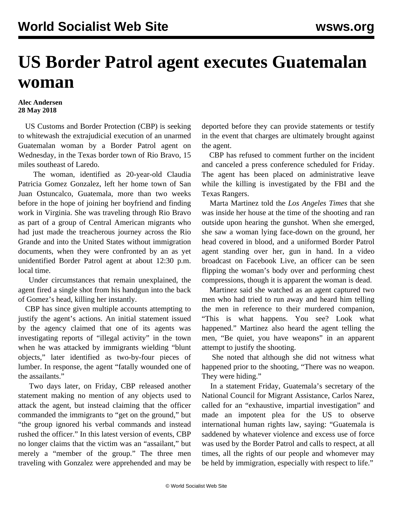## **US Border Patrol agent executes Guatemalan woman**

## **Alec Andersen 28 May 2018**

 US Customs and Border Protection (CBP) is seeking to whitewash the extrajudicial execution of an unarmed Guatemalan woman by a Border Patrol agent on Wednesday, in the Texas border town of Rio Bravo, 15 miles southeast of Laredo.

 The woman, identified as 20-year-old Claudia Patricia Gomez Gonzalez, left her home town of San Juan Ostuncalco, Guatemala, more than two weeks before in the hope of joining her boyfriend and finding work in Virginia. She was traveling through Rio Bravo as part of a group of Central American migrants who had just made the treacherous journey across the Rio Grande and into the United States without immigration documents, when they were confronted by an as yet unidentified Border Patrol agent at about 12:30 p.m. local time.

 Under circumstances that remain unexplained, the agent fired a single shot from his handgun into the back of Gomez's head, killing her instantly.

 CBP has since given multiple accounts attempting to justify the agent's actions. An initial statement issued by the agency claimed that one of its agents was investigating reports of "illegal activity" in the town when he was attacked by immigrants wielding "blunt objects," later identified as two-by-four pieces of lumber. In response, the agent "fatally wounded one of the assailants."

 Two days later, on Friday, CBP released another statement making no mention of any objects used to attack the agent, but instead claiming that the officer commanded the immigrants to "get on the ground," but "the group ignored his verbal commands and instead rushed the officer." In this latest version of events, CBP no longer claims that the victim was an "assailant," but merely a "member of the group." The three men traveling with Gonzalez were apprehended and may be deported before they can provide statements or testify in the event that charges are ultimately brought against the agent.

 CBP has refused to comment further on the incident and canceled a press conference scheduled for Friday. The agent has been placed on administrative leave while the killing is investigated by the FBI and the Texas Rangers.

 Marta Martinez told the *Los Angeles Times* that she was inside her house at the time of the shooting and ran outside upon hearing the gunshot. When she emerged, she saw a woman lying face-down on the ground, her head covered in blood, and a uniformed Border Patrol agent standing over her, gun in hand. In a [video](https://m.facebook.com/story.php?story_fbid=1658172210918678&id=100001777449656&refsrc=http%3A%2F%2Fmobile.nytimes.com%2F2018%2F05%2F26%2Fus%2Fborder-patrol-shooting-woman.html&_rdr) broadcast on Facebook Live, an officer can be seen flipping the woman's body over and performing chest compressions, though it is apparent the woman is dead.

 Martinez said she watched as an agent captured two men who had tried to run away and heard him telling the men in reference to their murdered companion, "This is what happens. You see? Look what happened." Martinez also heard the agent telling the men, "Be quiet, you have weapons" in an apparent attempt to justify the shooting.

 She noted that although she did not witness what happened prior to the shooting, "There was no weapon. They were hiding."

 In a statement Friday, Guatemala's secretary of the National Council for Migrant Assistance, Carlos Narez, called for an "exhaustive, impartial investigation" and made an impotent plea for the US to observe international human rights law, saying: "Guatemala is saddened by whatever violence and excess use of force was used by the Border Patrol and calls to respect, at all times, all the rights of our people and whomever may be held by immigration, especially with respect to life."